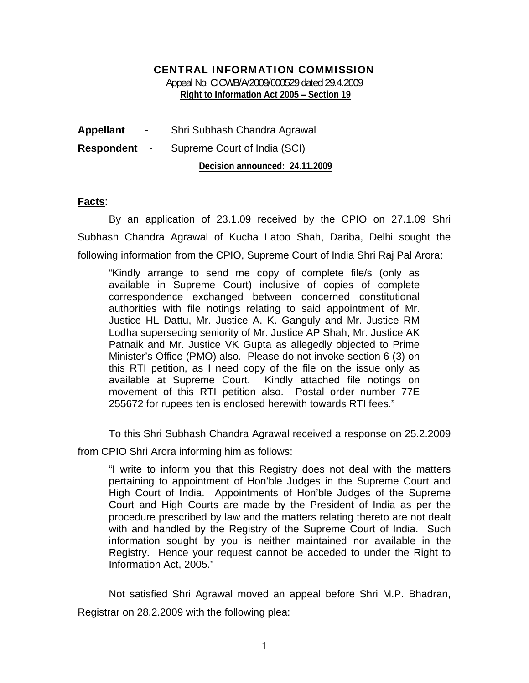## CENTRAL INFORMATION COMMISSION

Appeal No. CICWB/A/2009/000529 dated 29.4.2009 **Right to Information Act 2005 – Section 19** 

| <b>Appellant</b>  | $\sim$               | Shri Subhash Chandra Agrawal   |
|-------------------|----------------------|--------------------------------|
| <b>Respondent</b> | $\sim 100$ m $^{-1}$ | Supreme Court of India (SCI)   |
|                   |                      | Decision announced: 24.11.2009 |

## **Facts**:

By an application of 23.1.09 received by the CPIO on 27.1.09 Shri Subhash Chandra Agrawal of Kucha Latoo Shah, Dariba, Delhi sought the following information from the CPIO, Supreme Court of India Shri Raj Pal Arora:

"Kindly arrange to send me copy of complete file/s (only as available in Supreme Court) inclusive of copies of complete correspondence exchanged between concerned constitutional authorities with file notings relating to said appointment of Mr. Justice HL Dattu, Mr. Justice A. K. Ganguly and Mr. Justice RM Lodha superseding seniority of Mr. Justice AP Shah, Mr. Justice AK Patnaik and Mr. Justice VK Gupta as allegedly objected to Prime Minister's Office (PMO) also. Please do not invoke section 6 (3) on this RTI petition, as I need copy of the file on the issue only as available at Supreme Court. Kindly attached file notings on movement of this RTI petition also. Postal order number 77E 255672 for rupees ten is enclosed herewith towards RTI fees."

To this Shri Subhash Chandra Agrawal received a response on 25.2.2009

from CPIO Shri Arora informing him as follows:

"I write to inform you that this Registry does not deal with the matters pertaining to appointment of Hon'ble Judges in the Supreme Court and High Court of India. Appointments of Hon'ble Judges of the Supreme Court and High Courts are made by the President of India as per the procedure prescribed by law and the matters relating thereto are not dealt with and handled by the Registry of the Supreme Court of India. Such information sought by you is neither maintained nor available in the Registry. Hence your request cannot be acceded to under the Right to Information Act, 2005."

Not satisfied Shri Agrawal moved an appeal before Shri M.P. Bhadran, Registrar on 28.2.2009 with the following plea: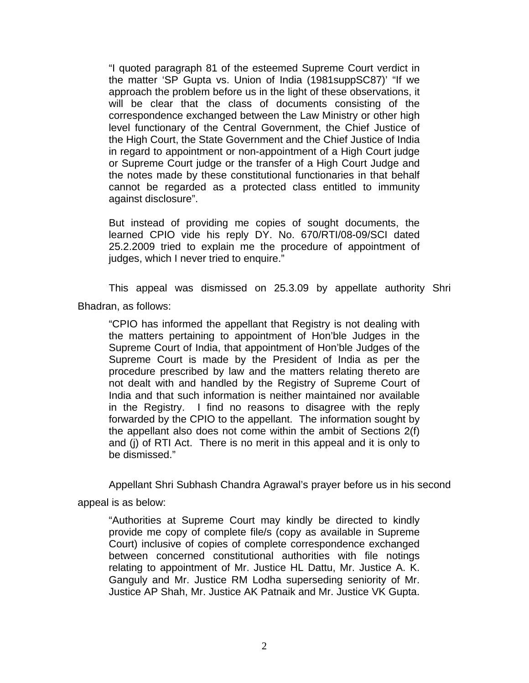"I quoted paragraph 81 of the esteemed Supreme Court verdict in the matter 'SP Gupta vs. Union of India (1981suppSC87)' "If we approach the problem before us in the light of these observations, it will be clear that the class of documents consisting of the correspondence exchanged between the Law Ministry or other high level functionary of the Central Government, the Chief Justice of the High Court, the State Government and the Chief Justice of India in regard to appointment or non-appointment of a High Court judge or Supreme Court judge or the transfer of a High Court Judge and the notes made by these constitutional functionaries in that behalf cannot be regarded as a protected class entitled to immunity against disclosure".

But instead of providing me copies of sought documents, the learned CPIO vide his reply DY. No. 670/RTI/08-09/SCI dated 25.2.2009 tried to explain me the procedure of appointment of judges, which I never tried to enquire."

This appeal was dismissed on 25.3.09 by appellate authority Shri Bhadran, as follows:

"CPIO has informed the appellant that Registry is not dealing with the matters pertaining to appointment of Hon'ble Judges in the Supreme Court of India, that appointment of Hon'ble Judges of the Supreme Court is made by the President of India as per the procedure prescribed by law and the matters relating thereto are not dealt with and handled by the Registry of Supreme Court of India and that such information is neither maintained nor available in the Registry. I find no reasons to disagree with the reply forwarded by the CPIO to the appellant. The information sought by the appellant also does not come within the ambit of Sections 2(f) and (j) of RTI Act. There is no merit in this appeal and it is only to be dismissed."

Appellant Shri Subhash Chandra Agrawal's prayer before us in his second appeal is as below:

"Authorities at Supreme Court may kindly be directed to kindly provide me copy of complete file/s (copy as available in Supreme Court) inclusive of copies of complete correspondence exchanged between concerned constitutional authorities with file notings relating to appointment of Mr. Justice HL Dattu, Mr. Justice A. K. Ganguly and Mr. Justice RM Lodha superseding seniority of Mr. Justice AP Shah, Mr. Justice AK Patnaik and Mr. Justice VK Gupta.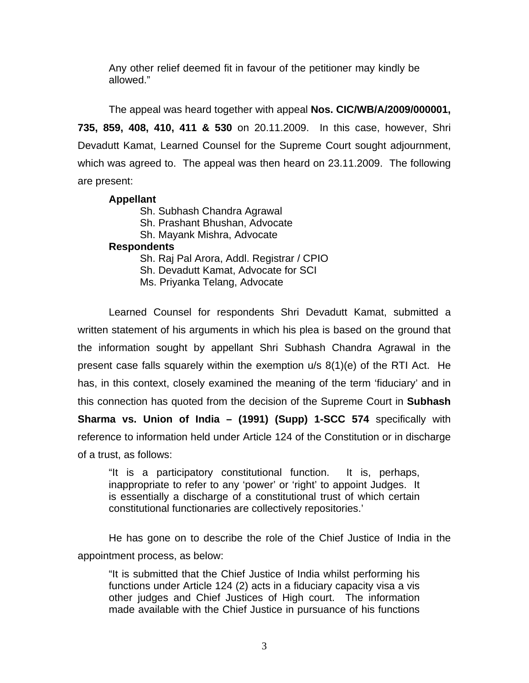Any other relief deemed fit in favour of the petitioner may kindly be allowed."

The appeal was heard together with appeal **Nos. CIC/WB/A/2009/000001, 735, 859, 408, 410, 411 & 530** on 20.11.2009. In this case, however, Shri Devadutt Kamat, Learned Counsel for the Supreme Court sought adjournment, which was agreed to. The appeal was then heard on 23.11.2009. The following are present:

## **Appellant**

 Sh. Subhash Chandra Agrawal Sh. Prashant Bhushan, Advocate Sh. Mayank Mishra, Advocate **Respondents**  Sh. Raj Pal Arora, Addl. Registrar / CPIO Sh. Devadutt Kamat, Advocate for SCI Ms. Priyanka Telang, Advocate

Learned Counsel for respondents Shri Devadutt Kamat, submitted a written statement of his arguments in which his plea is based on the ground that the information sought by appellant Shri Subhash Chandra Agrawal in the present case falls squarely within the exemption u/s 8(1)(e) of the RTI Act. He has, in this context, closely examined the meaning of the term 'fiduciary' and in this connection has quoted from the decision of the Supreme Court in **Subhash Sharma vs. Union of India – (1991) (Supp) 1-SCC 574** specifically with reference to information held under Article 124 of the Constitution or in discharge of a trust, as follows:

"It is a participatory constitutional function. It is, perhaps, inappropriate to refer to any 'power' or 'right' to appoint Judges. It is essentially a discharge of a constitutional trust of which certain constitutional functionaries are collectively repositories.'

He has gone on to describe the role of the Chief Justice of India in the appointment process, as below:

"It is submitted that the Chief Justice of India whilst performing his functions under Article 124 (2) acts in a fiduciary capacity visa a vis other judges and Chief Justices of High court. The information made available with the Chief Justice in pursuance of his functions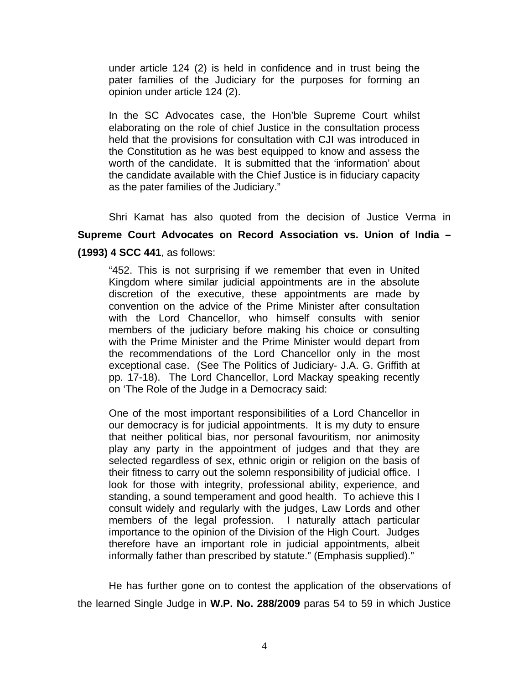under article 124 (2) is held in confidence and in trust being the pater families of the Judiciary for the purposes for forming an opinion under article 124 (2).

In the SC Advocates case, the Hon'ble Supreme Court whilst elaborating on the role of chief Justice in the consultation process held that the provisions for consultation with CJI was introduced in the Constitution as he was best equipped to know and assess the worth of the candidate. It is submitted that the 'information' about the candidate available with the Chief Justice is in fiduciary capacity as the pater families of the Judiciary."

Shri Kamat has also quoted from the decision of Justice Verma in **Supreme Court Advocates on Record Association vs. Union of India – (1993) 4 SCC 441**, as follows:

"452. This is not surprising if we remember that even in United Kingdom where similar judicial appointments are in the absolute discretion of the executive, these appointments are made by convention on the advice of the Prime Minister after consultation with the Lord Chancellor, who himself consults with senior members of the judiciary before making his choice or consulting with the Prime Minister and the Prime Minister would depart from the recommendations of the Lord Chancellor only in the most exceptional case. (See The Politics of Judiciary- J.A. G. Griffith at pp. 17-18). The Lord Chancellor, Lord Mackay speaking recently on 'The Role of the Judge in a Democracy said:

One of the most important responsibilities of a Lord Chancellor in our democracy is for judicial appointments. It is my duty to ensure that neither political bias, nor personal favouritism, nor animosity play any party in the appointment of judges and that they are selected regardless of sex, ethnic origin or religion on the basis of their fitness to carry out the solemn responsibility of judicial office. I look for those with integrity, professional ability, experience, and standing, a sound temperament and good health. To achieve this I consult widely and regularly with the judges, Law Lords and other members of the legal profession. I naturally attach particular importance to the opinion of the Division of the High Court. Judges therefore have an important role in judicial appointments, albeit informally father than prescribed by statute." (Emphasis supplied)."

He has further gone on to contest the application of the observations of the learned Single Judge in **W.P. No. 288/2009** paras 54 to 59 in which Justice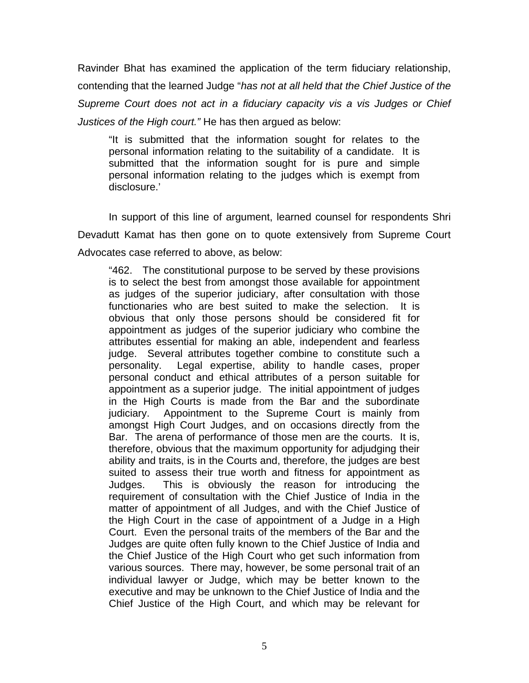Ravinder Bhat has examined the application of the term fiduciary relationship, contending that the learned Judge "*has not at all held that the Chief Justice of the Supreme Court does not act in a fiduciary capacity vis a vis Judges or Chief Justices of the High court."* He has then argued as below:

"It is submitted that the information sought for relates to the personal information relating to the suitability of a candidate. It is submitted that the information sought for is pure and simple personal information relating to the judges which is exempt from disclosure.'

In support of this line of argument, learned counsel for respondents Shri Devadutt Kamat has then gone on to quote extensively from Supreme Court Advocates case referred to above, as below:

"462. The constitutional purpose to be served by these provisions is to select the best from amongst those available for appointment as judges of the superior judiciary, after consultation with those functionaries who are best suited to make the selection. It is obvious that only those persons should be considered fit for appointment as judges of the superior judiciary who combine the attributes essential for making an able, independent and fearless judge. Several attributes together combine to constitute such a personality. Legal expertise, ability to handle cases, proper personal conduct and ethical attributes of a person suitable for appointment as a superior judge. The initial appointment of judges in the High Courts is made from the Bar and the subordinate judiciary. Appointment to the Supreme Court is mainly from amongst High Court Judges, and on occasions directly from the Bar. The arena of performance of those men are the courts. It is, therefore, obvious that the maximum opportunity for adjudging their ability and traits, is in the Courts and, therefore, the judges are best suited to assess their true worth and fitness for appointment as Judges. This is obviously the reason for introducing the requirement of consultation with the Chief Justice of India in the matter of appointment of all Judges, and with the Chief Justice of the High Court in the case of appointment of a Judge in a High Court. Even the personal traits of the members of the Bar and the Judges are quite often fully known to the Chief Justice of India and the Chief Justice of the High Court who get such information from various sources. There may, however, be some personal trait of an individual lawyer or Judge, which may be better known to the executive and may be unknown to the Chief Justice of India and the Chief Justice of the High Court, and which may be relevant for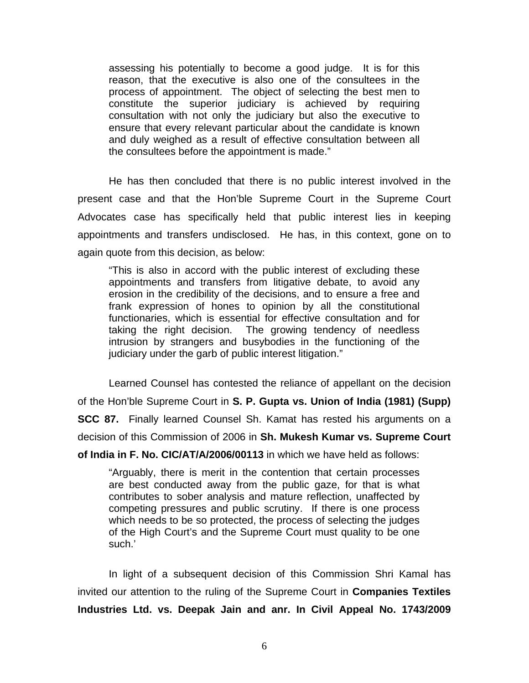assessing his potentially to become a good judge. It is for this reason, that the executive is also one of the consultees in the process of appointment. The object of selecting the best men to constitute the superior judiciary is achieved by requiring consultation with not only the judiciary but also the executive to ensure that every relevant particular about the candidate is known and duly weighed as a result of effective consultation between all the consultees before the appointment is made."

He has then concluded that there is no public interest involved in the present case and that the Hon'ble Supreme Court in the Supreme Court Advocates case has specifically held that public interest lies in keeping appointments and transfers undisclosed. He has, in this context, gone on to again quote from this decision, as below:

"This is also in accord with the public interest of excluding these appointments and transfers from litigative debate, to avoid any erosion in the credibility of the decisions, and to ensure a free and frank expression of hones to opinion by all the constitutional functionaries, which is essential for effective consultation and for taking the right decision. The growing tendency of needless intrusion by strangers and busybodies in the functioning of the judiciary under the garb of public interest litigation."

Learned Counsel has contested the reliance of appellant on the decision of the Hon'ble Supreme Court in **S. P. Gupta vs. Union of India (1981) (Supp) SCC 87.** Finally learned Counsel Sh. Kamat has rested his arguments on a decision of this Commission of 2006 in **Sh. Mukesh Kumar vs. Supreme Court** 

**of India in F. No. CIC/AT/A/2006/00113** in which we have held as follows:

"Arguably, there is merit in the contention that certain processes are best conducted away from the public gaze, for that is what contributes to sober analysis and mature reflection, unaffected by competing pressures and public scrutiny. If there is one process which needs to be so protected, the process of selecting the judges of the High Court's and the Supreme Court must quality to be one such.'

In light of a subsequent decision of this Commission Shri Kamal has invited our attention to the ruling of the Supreme Court in **Companies Textiles Industries Ltd. vs. Deepak Jain and anr. In Civil Appeal No. 1743/2009**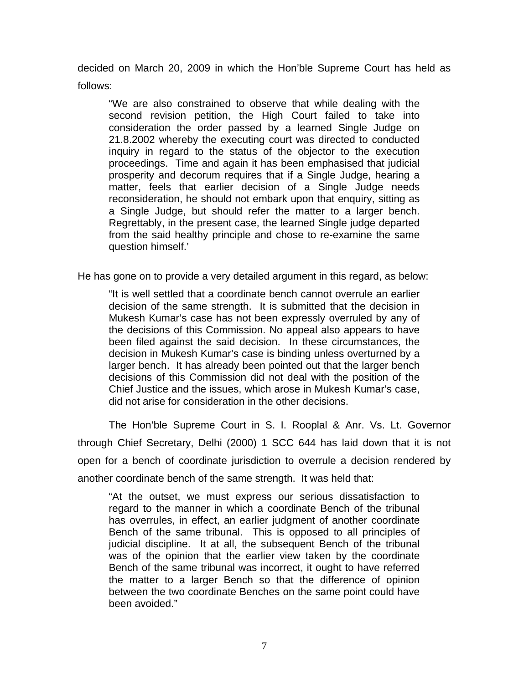decided on March 20, 2009 in which the Hon'ble Supreme Court has held as follows:

"We are also constrained to observe that while dealing with the second revision petition, the High Court failed to take into consideration the order passed by a learned Single Judge on 21.8.2002 whereby the executing court was directed to conducted inquiry in regard to the status of the objector to the execution proceedings. Time and again it has been emphasised that judicial prosperity and decorum requires that if a Single Judge, hearing a matter, feels that earlier decision of a Single Judge needs reconsideration, he should not embark upon that enquiry, sitting as a Single Judge, but should refer the matter to a larger bench. Regrettably, in the present case, the learned Single judge departed from the said healthy principle and chose to re-examine the same question himself.'

He has gone on to provide a very detailed argument in this regard, as below:

"It is well settled that a coordinate bench cannot overrule an earlier decision of the same strength. It is submitted that the decision in Mukesh Kumar's case has not been expressly overruled by any of the decisions of this Commission. No appeal also appears to have been filed against the said decision. In these circumstances, the decision in Mukesh Kumar's case is binding unless overturned by a larger bench. It has already been pointed out that the larger bench decisions of this Commission did not deal with the position of the Chief Justice and the issues, which arose in Mukesh Kumar's case, did not arise for consideration in the other decisions.

The Hon'ble Supreme Court in S. I. Rooplal & Anr. Vs. Lt. Governor through Chief Secretary, Delhi (2000) 1 SCC 644 has laid down that it is not open for a bench of coordinate jurisdiction to overrule a decision rendered by another coordinate bench of the same strength. It was held that:

"At the outset, we must express our serious dissatisfaction to regard to the manner in which a coordinate Bench of the tribunal has overrules, in effect, an earlier judgment of another coordinate Bench of the same tribunal. This is opposed to all principles of judicial discipline. It at all, the subsequent Bench of the tribunal was of the opinion that the earlier view taken by the coordinate Bench of the same tribunal was incorrect, it ought to have referred the matter to a larger Bench so that the difference of opinion between the two coordinate Benches on the same point could have been avoided."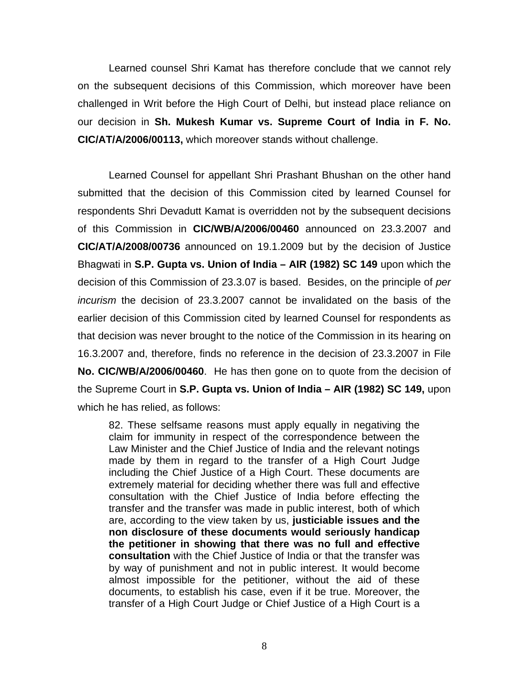Learned counsel Shri Kamat has therefore conclude that we cannot rely on the subsequent decisions of this Commission, which moreover have been challenged in Writ before the High Court of Delhi, but instead place reliance on our decision in **Sh. Mukesh Kumar vs. Supreme Court of India in F. No. CIC/AT/A/2006/00113,** which moreover stands without challenge.

Learned Counsel for appellant Shri Prashant Bhushan on the other hand submitted that the decision of this Commission cited by learned Counsel for respondents Shri Devadutt Kamat is overridden not by the subsequent decisions of this Commission in **CIC/WB/A/2006/00460** announced on 23.3.2007 and **CIC/AT/A/2008/00736** announced on 19.1.2009 but by the decision of Justice Bhagwati in **S.P. Gupta vs. Union of India – AIR (1982) SC 149** upon which the decision of this Commission of 23.3.07 is based. Besides, on the principle of *per incurism* the decision of 23.3.2007 cannot be invalidated on the basis of the earlier decision of this Commission cited by learned Counsel for respondents as that decision was never brought to the notice of the Commission in its hearing on 16.3.2007 and, therefore, finds no reference in the decision of 23.3.2007 in File **No. CIC/WB/A/2006/00460**. He has then gone on to quote from the decision of the Supreme Court in **S.P. Gupta vs. Union of India – AIR (1982) SC 149,** upon which he has relied, as follows:

82. These selfsame reasons must apply equally in negativing the claim for immunity in respect of the correspondence between the Law Minister and the Chief Justice of India and the relevant notings made by them in regard to the transfer of a High Court Judge including the Chief Justice of a High Court. These documents are extremely material for deciding whether there was full and effective consultation with the Chief Justice of India before effecting the transfer and the transfer was made in public interest, both of which are, according to the view taken by us, **justiciable issues and the non disclosure of these documents would seriously handicap the petitioner in showing that there was no full and effective consultation** with the Chief Justice of India or that the transfer was by way of punishment and not in public interest. It would become almost impossible for the petitioner, without the aid of these documents, to establish his case, even if it be true. Moreover, the transfer of a High Court Judge or Chief Justice of a High Court is a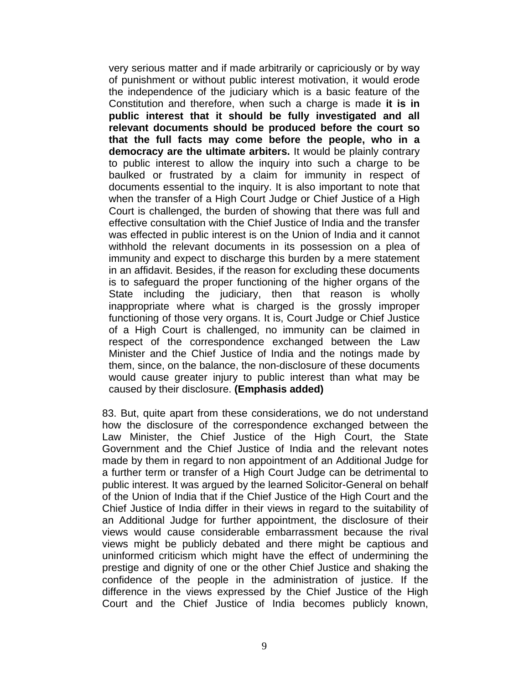very serious matter and if made arbitrarily or capriciously or by way of punishment or without public interest motivation, it would erode the independence of the judiciary which is a basic feature of the Constitution and therefore, when such a charge is made **it is in public interest that it should be fully investigated and all relevant documents should be produced before the court so that the full facts may come before the people, who in a democracy are the ultimate arbiters.** It would be plainly contrary to public interest to allow the inquiry into such a charge to be baulked or frustrated by a claim for immunity in respect of documents essential to the inquiry. It is also important to note that when the transfer of a High Court Judge or Chief Justice of a High Court is challenged, the burden of showing that there was full and effective consultation with the Chief Justice of India and the transfer was effected in public interest is on the Union of India and it cannot withhold the relevant documents in its possession on a plea of immunity and expect to discharge this burden by a mere statement in an affidavit. Besides, if the reason for excluding these documents is to safeguard the proper functioning of the higher organs of the State including the judiciary, then that reason is wholly inappropriate where what is charged is the grossly improper functioning of those very organs. It is, Court Judge or Chief Justice of a High Court is challenged, no immunity can be claimed in respect of the correspondence exchanged between the Law Minister and the Chief Justice of India and the notings made by them, since, on the balance, the non-disclosure of these documents would cause greater injury to public interest than what may be caused by their disclosure. **(Emphasis added)** 

83. But, quite apart from these considerations, we do not understand how the disclosure of the correspondence exchanged between the Law Minister, the Chief Justice of the High Court, the State Government and the Chief Justice of India and the relevant notes made by them in regard to non appointment of an Additional Judge for a further term or transfer of a High Court Judge can be detrimental to public interest. It was argued by the learned Solicitor-General on behalf of the Union of India that if the Chief Justice of the High Court and the Chief Justice of India differ in their views in regard to the suitability of an Additional Judge for further appointment, the disclosure of their views would cause considerable embarrassment because the rival views might be publicly debated and there might be captious and uninformed criticism which might have the effect of undermining the prestige and dignity of one or the other Chief Justice and shaking the confidence of the people in the administration of justice. If the difference in the views expressed by the Chief Justice of the High Court and the Chief Justice of India becomes publicly known,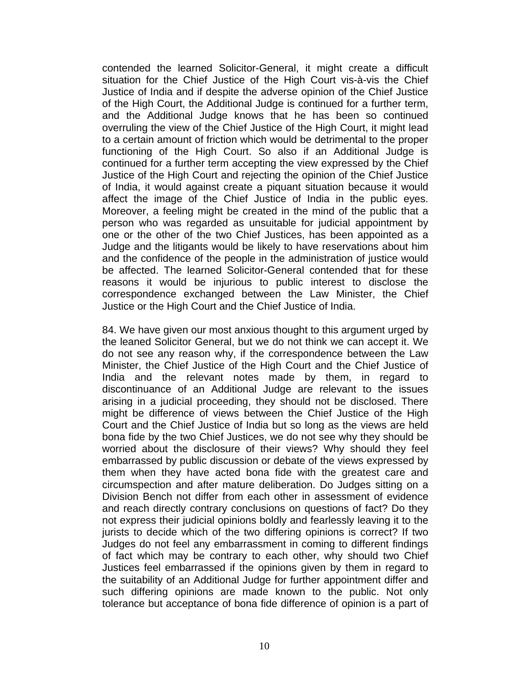contended the learned Solicitor-General, it might create a difficult situation for the Chief Justice of the High Court vis-à-vis the Chief Justice of India and if despite the adverse opinion of the Chief Justice of the High Court, the Additional Judge is continued for a further term, and the Additional Judge knows that he has been so continued overruling the view of the Chief Justice of the High Court, it might lead to a certain amount of friction which would be detrimental to the proper functioning of the High Court. So also if an Additional Judge is continued for a further term accepting the view expressed by the Chief Justice of the High Court and rejecting the opinion of the Chief Justice of India, it would against create a piquant situation because it would affect the image of the Chief Justice of India in the public eyes. Moreover, a feeling might be created in the mind of the public that a person who was regarded as unsuitable for judicial appointment by one or the other of the two Chief Justices, has been appointed as a Judge and the litigants would be likely to have reservations about him and the confidence of the people in the administration of justice would be affected. The learned Solicitor-General contended that for these reasons it would be injurious to public interest to disclose the correspondence exchanged between the Law Minister, the Chief Justice or the High Court and the Chief Justice of India.

84. We have given our most anxious thought to this argument urged by the leaned Solicitor General, but we do not think we can accept it. We do not see any reason why, if the correspondence between the Law Minister, the Chief Justice of the High Court and the Chief Justice of India and the relevant notes made by them, in regard to discontinuance of an Additional Judge are relevant to the issues arising in a judicial proceeding, they should not be disclosed. There might be difference of views between the Chief Justice of the High Court and the Chief Justice of India but so long as the views are held bona fide by the two Chief Justices, we do not see why they should be worried about the disclosure of their views? Why should they feel embarrassed by public discussion or debate of the views expressed by them when they have acted bona fide with the greatest care and circumspection and after mature deliberation. Do Judges sitting on a Division Bench not differ from each other in assessment of evidence and reach directly contrary conclusions on questions of fact? Do they not express their judicial opinions boldly and fearlessly leaving it to the jurists to decide which of the two differing opinions is correct? If two Judges do not feel any embarrassment in coming to different findings of fact which may be contrary to each other, why should two Chief Justices feel embarrassed if the opinions given by them in regard to the suitability of an Additional Judge for further appointment differ and such differing opinions are made known to the public. Not only tolerance but acceptance of bona fide difference of opinion is a part of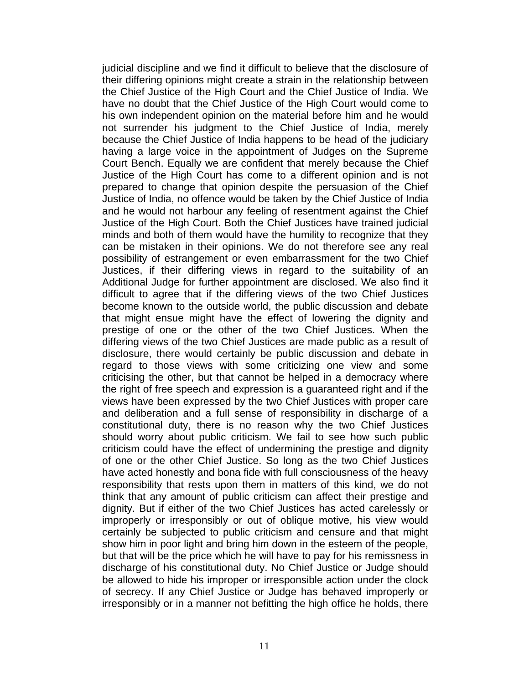judicial discipline and we find it difficult to believe that the disclosure of their differing opinions might create a strain in the relationship between the Chief Justice of the High Court and the Chief Justice of India. We have no doubt that the Chief Justice of the High Court would come to his own independent opinion on the material before him and he would not surrender his judgment to the Chief Justice of India, merely because the Chief Justice of India happens to be head of the judiciary having a large voice in the appointment of Judges on the Supreme Court Bench. Equally we are confident that merely because the Chief Justice of the High Court has come to a different opinion and is not prepared to change that opinion despite the persuasion of the Chief Justice of India, no offence would be taken by the Chief Justice of India and he would not harbour any feeling of resentment against the Chief Justice of the High Court. Both the Chief Justices have trained judicial minds and both of them would have the humility to recognize that they can be mistaken in their opinions. We do not therefore see any real possibility of estrangement or even embarrassment for the two Chief Justices, if their differing views in regard to the suitability of an Additional Judge for further appointment are disclosed. We also find it difficult to agree that if the differing views of the two Chief Justices become known to the outside world, the public discussion and debate that might ensue might have the effect of lowering the dignity and prestige of one or the other of the two Chief Justices. When the differing views of the two Chief Justices are made public as a result of disclosure, there would certainly be public discussion and debate in regard to those views with some criticizing one view and some criticising the other, but that cannot be helped in a democracy where the right of free speech and expression is a guaranteed right and if the views have been expressed by the two Chief Justices with proper care and deliberation and a full sense of responsibility in discharge of a constitutional duty, there is no reason why the two Chief Justices should worry about public criticism. We fail to see how such public criticism could have the effect of undermining the prestige and dignity of one or the other Chief Justice. So long as the two Chief Justices have acted honestly and bona fide with full consciousness of the heavy responsibility that rests upon them in matters of this kind, we do not think that any amount of public criticism can affect their prestige and dignity. But if either of the two Chief Justices has acted carelessly or improperly or irresponsibly or out of oblique motive, his view would certainly be subjected to public criticism and censure and that might show him in poor light and bring him down in the esteem of the people, but that will be the price which he will have to pay for his remissness in discharge of his constitutional duty. No Chief Justice or Judge should be allowed to hide his improper or irresponsible action under the clock of secrecy. If any Chief Justice or Judge has behaved improperly or irresponsibly or in a manner not befitting the high office he holds, there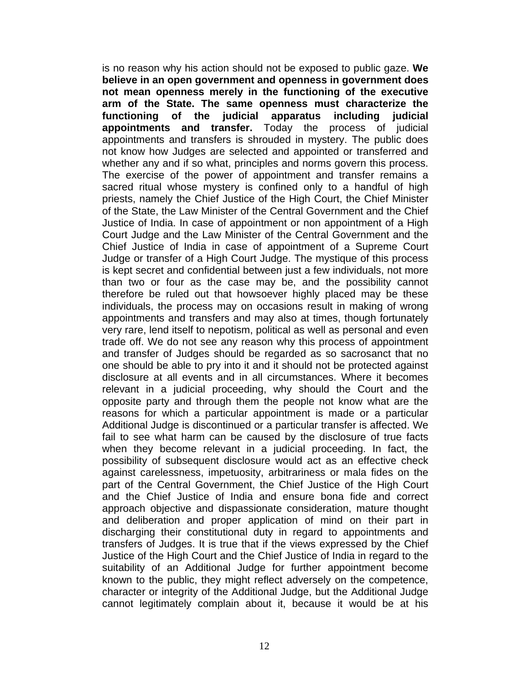is no reason why his action should not be exposed to public gaze. **We believe in an open government and openness in government does not mean openness merely in the functioning of the executive arm of the State. The same openness must characterize the functioning of the judicial apparatus including judicial appointments and transfer.** Today the process of judicial appointments and transfers is shrouded in mystery. The public does not know how Judges are selected and appointed or transferred and whether any and if so what, principles and norms govern this process. The exercise of the power of appointment and transfer remains a sacred ritual whose mystery is confined only to a handful of high priests, namely the Chief Justice of the High Court, the Chief Minister of the State, the Law Minister of the Central Government and the Chief Justice of India. In case of appointment or non appointment of a High Court Judge and the Law Minister of the Central Government and the Chief Justice of India in case of appointment of a Supreme Court Judge or transfer of a High Court Judge. The mystique of this process is kept secret and confidential between just a few individuals, not more than two or four as the case may be, and the possibility cannot therefore be ruled out that howsoever highly placed may be these individuals, the process may on occasions result in making of wrong appointments and transfers and may also at times, though fortunately very rare, lend itself to nepotism, political as well as personal and even trade off. We do not see any reason why this process of appointment and transfer of Judges should be regarded as so sacrosanct that no one should be able to pry into it and it should not be protected against disclosure at all events and in all circumstances. Where it becomes relevant in a judicial proceeding, why should the Court and the opposite party and through them the people not know what are the reasons for which a particular appointment is made or a particular Additional Judge is discontinued or a particular transfer is affected. We fail to see what harm can be caused by the disclosure of true facts when they become relevant in a judicial proceeding. In fact, the possibility of subsequent disclosure would act as an effective check against carelessness, impetuosity, arbitrariness or mala fides on the part of the Central Government, the Chief Justice of the High Court and the Chief Justice of India and ensure bona fide and correct approach objective and dispassionate consideration, mature thought and deliberation and proper application of mind on their part in discharging their constitutional duty in regard to appointments and transfers of Judges. It is true that if the views expressed by the Chief Justice of the High Court and the Chief Justice of India in regard to the suitability of an Additional Judge for further appointment become known to the public, they might reflect adversely on the competence, character or integrity of the Additional Judge, but the Additional Judge cannot legitimately complain about it, because it would be at his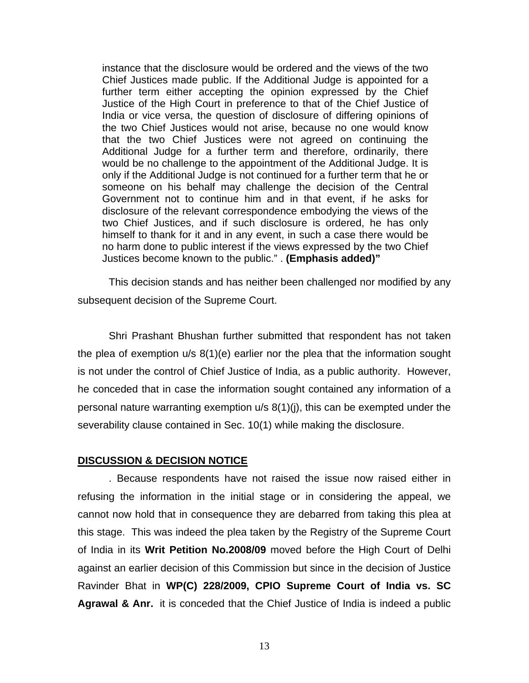instance that the disclosure would be ordered and the views of the two Chief Justices made public. If the Additional Judge is appointed for a further term either accepting the opinion expressed by the Chief Justice of the High Court in preference to that of the Chief Justice of India or vice versa, the question of disclosure of differing opinions of the two Chief Justices would not arise, because no one would know that the two Chief Justices were not agreed on continuing the Additional Judge for a further term and therefore, ordinarily, there would be no challenge to the appointment of the Additional Judge. It is only if the Additional Judge is not continued for a further term that he or someone on his behalf may challenge the decision of the Central Government not to continue him and in that event, if he asks for disclosure of the relevant correspondence embodying the views of the two Chief Justices, and if such disclosure is ordered, he has only himself to thank for it and in any event, in such a case there would be no harm done to public interest if the views expressed by the two Chief Justices become known to the public." . **(Emphasis added)"**

This decision stands and has neither been challenged nor modified by any subsequent decision of the Supreme Court.

Shri Prashant Bhushan further submitted that respondent has not taken the plea of exemption u/s 8(1)(e) earlier nor the plea that the information sought is not under the control of Chief Justice of India, as a public authority. However, he conceded that in case the information sought contained any information of a personal nature warranting exemption u/s 8(1)(j), this can be exempted under the severability clause contained in Sec. 10(1) while making the disclosure.

## **DISCUSSION & DECISION NOTICE**

. Because respondents have not raised the issue now raised either in refusing the information in the initial stage or in considering the appeal, we cannot now hold that in consequence they are debarred from taking this plea at this stage. This was indeed the plea taken by the Registry of the Supreme Court of India in its **Writ Petition No.2008/09** moved before the High Court of Delhi against an earlier decision of this Commission but since in the decision of Justice Ravinder Bhat in **WP(C) 228/2009, CPIO Supreme Court of India vs. SC Agrawal & Anr.** it is conceded that the Chief Justice of India is indeed a public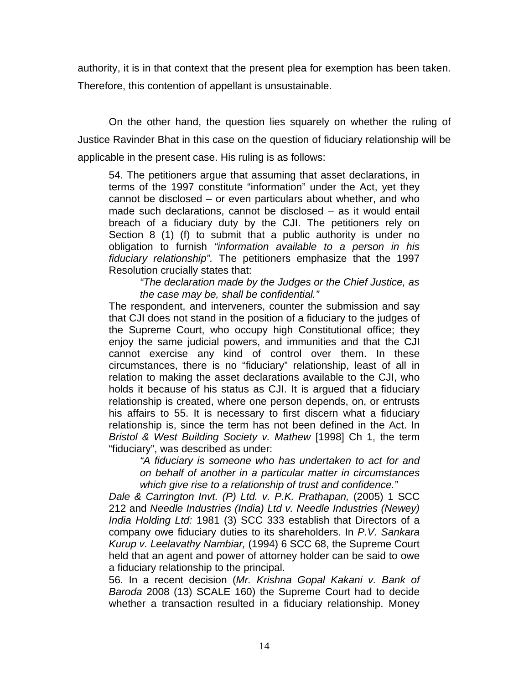authority, it is in that context that the present plea for exemption has been taken. Therefore, this contention of appellant is unsustainable.

On the other hand, the question lies squarely on whether the ruling of Justice Ravinder Bhat in this case on the question of fiduciary relationship will be applicable in the present case. His ruling is as follows:

54. The petitioners argue that assuming that asset declarations, in terms of the 1997 constitute "information" under the Act, yet they cannot be disclosed – or even particulars about whether, and who made such declarations, cannot be disclosed – as it would entail breach of a fiduciary duty by the CJI. The petitioners rely on Section 8 (1) (f) to submit that a public authority is under no obligation to furnish *"information available to a person in his fiduciary relationship".* The petitioners emphasize that the 1997 Resolution crucially states that:

*"The declaration made by the Judges or the Chief Justice, as the case may be, shall be confidential."* 

The respondent, and interveners, counter the submission and say that CJI does not stand in the position of a fiduciary to the judges of the Supreme Court, who occupy high Constitutional office; they enjoy the same judicial powers, and immunities and that the CJI cannot exercise any kind of control over them. In these circumstances, there is no "fiduciary" relationship, least of all in relation to making the asset declarations available to the CJI, who holds it because of his status as CJI. It is argued that a fiduciary relationship is created, where one person depends, on, or entrusts his affairs to 55. It is necessary to first discern what a fiduciary relationship is, since the term has not been defined in the Act. In *Bristol & West Building Society v. Mathew* [1998] Ch 1, the term "fiduciary", was described as under:

*"A fiduciary is someone who has undertaken to act for and on behalf of another in a particular matter in circumstances which give rise to a relationship of trust and confidence."* 

*Dale & Carrington Invt. (P) Ltd. v. P.K. Prathapan,* (2005) 1 SCC 212 and *Needle Industries (India) Ltd v. Needle Industries (Newey) India Holding Ltd:* 1981 (3) SCC 333 establish that Directors of a company owe fiduciary duties to its shareholders. In *P.V. Sankara Kurup v. Leelavathy Nambiar,* (1994) 6 SCC 68, the Supreme Court held that an agent and power of attorney holder can be said to owe a fiduciary relationship to the principal.

56. In a recent decision (*Mr. Krishna Gopal Kakani v. Bank of Baroda* 2008 (13) SCALE 160) the Supreme Court had to decide whether a transaction resulted in a fiduciary relationship. Money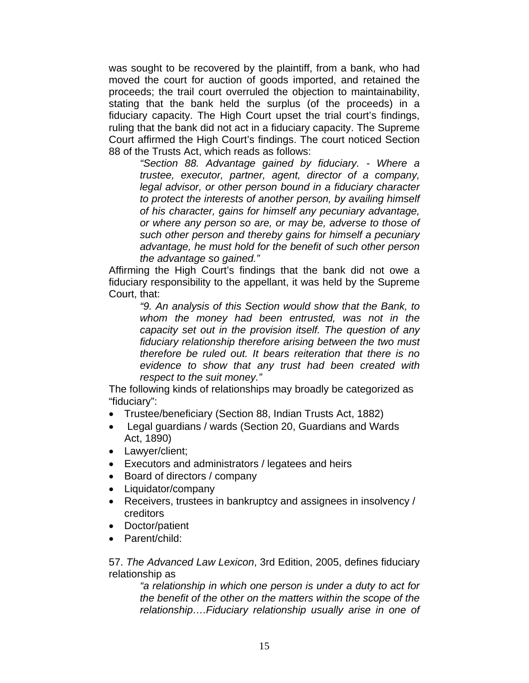was sought to be recovered by the plaintiff, from a bank, who had moved the court for auction of goods imported, and retained the proceeds; the trail court overruled the objection to maintainability, stating that the bank held the surplus (of the proceeds) in a fiduciary capacity. The High Court upset the trial court's findings, ruling that the bank did not act in a fiduciary capacity. The Supreme Court affirmed the High Court's findings. The court noticed Section 88 of the Trusts Act, which reads as follows:

*"Section 88. Advantage gained by fiduciary. - Where a trustee, executor, partner, agent, director of a company, legal advisor, or other person bound in a fiduciary character to protect the interests of another person, by availing himself of his character, gains for himself any pecuniary advantage, or where any person so are, or may be, adverse to those of such other person and thereby gains for himself a pecuniary advantage, he must hold for the benefit of such other person the advantage so gained."* 

Affirming the High Court's findings that the bank did not owe a fiduciary responsibility to the appellant, it was held by the Supreme Court, that:

*"9. An analysis of this Section would show that the Bank, to whom the money had been entrusted, was not in the capacity set out in the provision itself. The question of any fiduciary relationship therefore arising between the two must therefore be ruled out. It bears reiteration that there is no evidence to show that any trust had been created with respect to the suit money."* 

The following kinds of relationships may broadly be categorized as "fiduciary":

- Trustee/beneficiary (Section 88, Indian Trusts Act, 1882)
- Legal guardians / wards (Section 20, Guardians and Wards Act, 1890)
- Lawyer/client;
- Executors and administrators / legatees and heirs
- Board of directors / company
- Liquidator/company
- Receivers, trustees in bankruptcy and assignees in insolvency / creditors
- Doctor/patient
- Parent/child:

57. *The Advanced Law Lexicon*, 3rd Edition, 2005, defines fiduciary relationship as

*"a relationship in which one person is under a duty to act for the benefit of the other on the matters within the scope of the relationship….Fiduciary relationship usually arise in one of*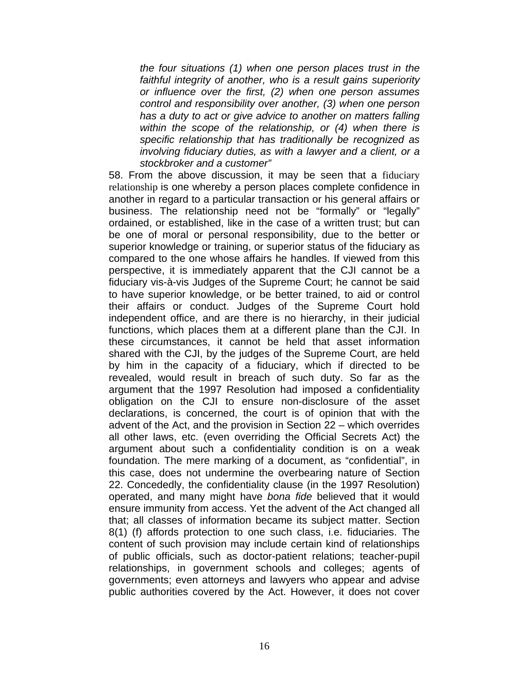*the four situations (1) when one person places trust in the faithful integrity of another, who is a result gains superiority or influence over the first, (2) when one person assumes control and responsibility over another, (3) when one person has a duty to act or give advice to another on matters falling within the scope of the relationship, or (4) when there is specific relationship that has traditionally be recognized as involving fiduciary duties, as with a lawyer and a client, or a stockbroker and a customer"* 

58. From the above discussion, it may be seen that a fiduciary relationship is one whereby a person places complete confidence in another in regard to a particular transaction or his general affairs or business. The relationship need not be "formally" or "legally" ordained, or established, like in the case of a written trust; but can be one of moral or personal responsibility, due to the better or superior knowledge or training, or superior status of the fiduciary as compared to the one whose affairs he handles. If viewed from this perspective, it is immediately apparent that the CJI cannot be a fiduciary vis-à-vis Judges of the Supreme Court; he cannot be said to have superior knowledge, or be better trained, to aid or control their affairs or conduct. Judges of the Supreme Court hold independent office, and are there is no hierarchy, in their judicial functions, which places them at a different plane than the CJI. In these circumstances, it cannot be held that asset information shared with the CJI, by the judges of the Supreme Court, are held by him in the capacity of a fiduciary, which if directed to be revealed, would result in breach of such duty. So far as the argument that the 1997 Resolution had imposed a confidentiality obligation on the CJI to ensure non-disclosure of the asset declarations, is concerned, the court is of opinion that with the advent of the Act, and the provision in Section 22 – which overrides all other laws, etc. (even overriding the Official Secrets Act) the argument about such a confidentiality condition is on a weak foundation. The mere marking of a document, as "confidential", in this case, does not undermine the overbearing nature of Section 22. Concededly, the confidentiality clause (in the 1997 Resolution) operated, and many might have *bona fide* believed that it would ensure immunity from access. Yet the advent of the Act changed all that; all classes of information became its subject matter. Section 8(1) (f) affords protection to one such class, i.e. fiduciaries. The content of such provision may include certain kind of relationships of public officials, such as doctor-patient relations; teacher-pupil relationships, in government schools and colleges; agents of governments; even attorneys and lawyers who appear and advise public authorities covered by the Act. However, it does not cover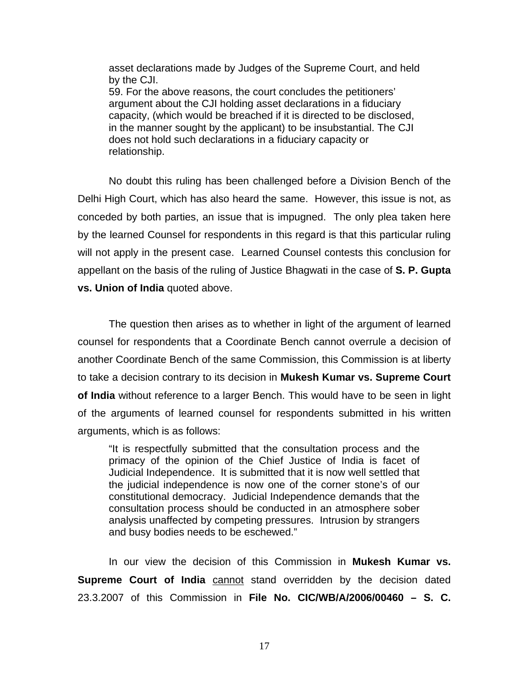asset declarations made by Judges of the Supreme Court, and held by the CJI. 59. For the above reasons, the court concludes the petitioners' argument about the CJI holding asset declarations in a fiduciary capacity, (which would be breached if it is directed to be disclosed, in the manner sought by the applicant) to be insubstantial. The CJI does not hold such declarations in a fiduciary capacity or relationship.

No doubt this ruling has been challenged before a Division Bench of the Delhi High Court, which has also heard the same. However, this issue is not, as conceded by both parties, an issue that is impugned. The only plea taken here by the learned Counsel for respondents in this regard is that this particular ruling will not apply in the present case. Learned Counsel contests this conclusion for appellant on the basis of the ruling of Justice Bhagwati in the case of **S. P. Gupta vs. Union of India** quoted above.

The question then arises as to whether in light of the argument of learned counsel for respondents that a Coordinate Bench cannot overrule a decision of another Coordinate Bench of the same Commission, this Commission is at liberty to take a decision contrary to its decision in **Mukesh Kumar vs. Supreme Court of India** without reference to a larger Bench. This would have to be seen in light of the arguments of learned counsel for respondents submitted in his written arguments, which is as follows:

"It is respectfully submitted that the consultation process and the primacy of the opinion of the Chief Justice of India is facet of Judicial Independence. It is submitted that it is now well settled that the judicial independence is now one of the corner stone's of our constitutional democracy. Judicial Independence demands that the consultation process should be conducted in an atmosphere sober analysis unaffected by competing pressures. Intrusion by strangers and busy bodies needs to be eschewed."

In our view the decision of this Commission in **Mukesh Kumar vs. Supreme Court of India** cannot stand overridden by the decision dated 23.3.2007 of this Commission in **File No. CIC/WB/A/2006/00460 – S. C.**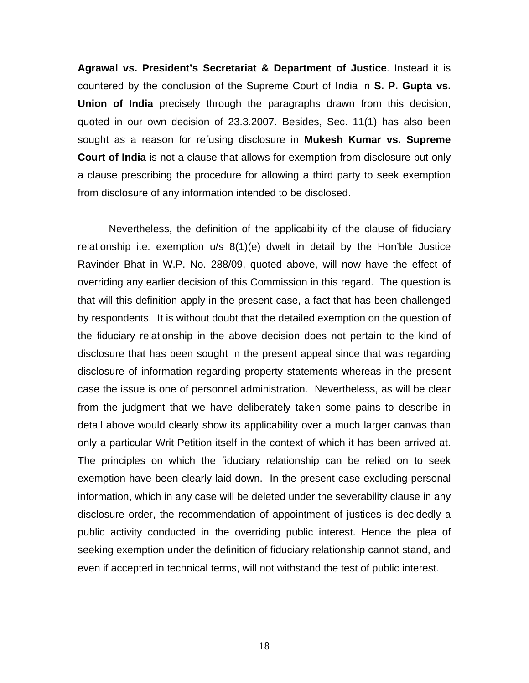**Agrawal vs. President's Secretariat & Department of Justice**. Instead it is countered by the conclusion of the Supreme Court of India in **S. P. Gupta vs. Union of India** precisely through the paragraphs drawn from this decision, quoted in our own decision of 23.3.2007. Besides, Sec. 11(1) has also been sought as a reason for refusing disclosure in **Mukesh Kumar vs. Supreme Court of India** is not a clause that allows for exemption from disclosure but only a clause prescribing the procedure for allowing a third party to seek exemption from disclosure of any information intended to be disclosed.

Nevertheless, the definition of the applicability of the clause of fiduciary relationship i.e. exemption u/s 8(1)(e) dwelt in detail by the Hon'ble Justice Ravinder Bhat in W.P. No. 288/09, quoted above, will now have the effect of overriding any earlier decision of this Commission in this regard. The question is that will this definition apply in the present case, a fact that has been challenged by respondents. It is without doubt that the detailed exemption on the question of the fiduciary relationship in the above decision does not pertain to the kind of disclosure that has been sought in the present appeal since that was regarding disclosure of information regarding property statements whereas in the present case the issue is one of personnel administration. Nevertheless, as will be clear from the judgment that we have deliberately taken some pains to describe in detail above would clearly show its applicability over a much larger canvas than only a particular Writ Petition itself in the context of which it has been arrived at. The principles on which the fiduciary relationship can be relied on to seek exemption have been clearly laid down. In the present case excluding personal information, which in any case will be deleted under the severability clause in any disclosure order, the recommendation of appointment of justices is decidedly a public activity conducted in the overriding public interest. Hence the plea of seeking exemption under the definition of fiduciary relationship cannot stand, and even if accepted in technical terms, will not withstand the test of public interest.